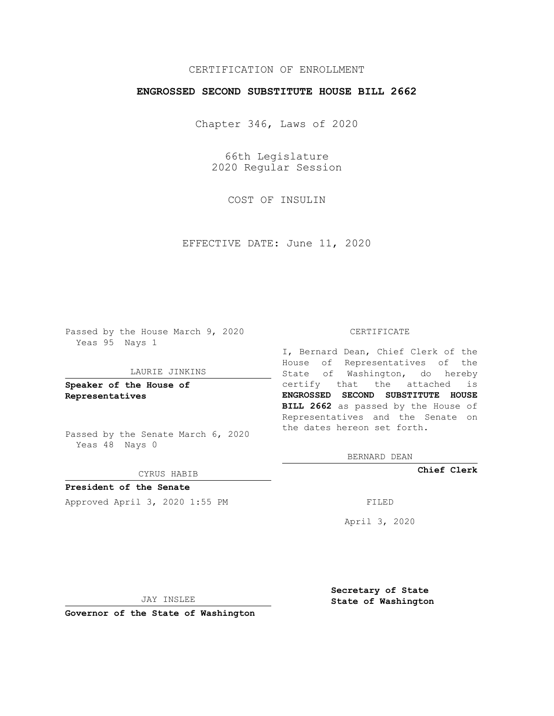## CERTIFICATION OF ENROLLMENT

## **ENGROSSED SECOND SUBSTITUTE HOUSE BILL 2662**

Chapter 346, Laws of 2020

66th Legislature 2020 Regular Session

COST OF INSULIN

EFFECTIVE DATE: June 11, 2020

Passed by the House March 9, 2020 Yeas 95 Nays 1

#### LAURIE JINKINS

**Speaker of the House of Representatives**

Passed by the Senate March 6, 2020 Yeas 48 Nays 0

#### CYRUS HABIB

**President of the Senate** Approved April 3, 2020 1:55 PM

#### CERTIFICATE

I, Bernard Dean, Chief Clerk of the House of Representatives of the State of Washington, do hereby certify that the attached is **ENGROSSED SECOND SUBSTITUTE HOUSE BILL 2662** as passed by the House of Representatives and the Senate on the dates hereon set forth.

BERNARD DEAN

**Chief Clerk**

April 3, 2020

JAY INSLEE

**Governor of the State of Washington**

**Secretary of State State of Washington**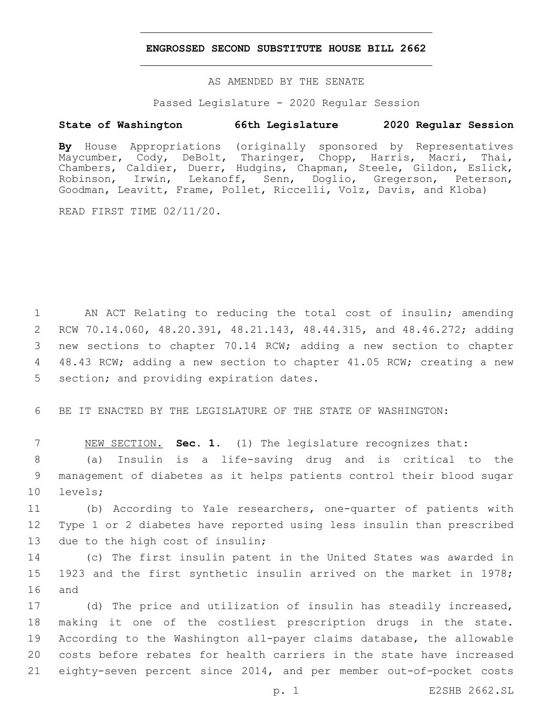### **ENGROSSED SECOND SUBSTITUTE HOUSE BILL 2662**

AS AMENDED BY THE SENATE

Passed Legislature - 2020 Regular Session

# **State of Washington 66th Legislature 2020 Regular Session**

**By** House Appropriations (originally sponsored by Representatives Maycumber, Cody, DeBolt, Tharinger, Chopp, Harris, Macri, Thai, Chambers, Caldier, Duerr, Hudgins, Chapman, Steele, Gildon, Eslick, Robinson, Irwin, Lekanoff, Senn, Doglio, Gregerson, Peterson, Goodman, Leavitt, Frame, Pollet, Riccelli, Volz, Davis, and Kloba)

READ FIRST TIME 02/11/20.

 AN ACT Relating to reducing the total cost of insulin; amending RCW 70.14.060, 48.20.391, 48.21.143, 48.44.315, and 48.46.272; adding new sections to chapter 70.14 RCW; adding a new section to chapter 48.43 RCW; adding a new section to chapter 41.05 RCW; creating a new 5 section; and providing expiration dates.

6 BE IT ENACTED BY THE LEGISLATURE OF THE STATE OF WASHINGTON:

7 NEW SECTION. **Sec. 1.** (1) The legislature recognizes that:

8 (a) Insulin is a life-saving drug and is critical to the 9 management of diabetes as it helps patients control their blood sugar 10 levels;

11 (b) According to Yale researchers, one-quarter of patients with 12 Type 1 or 2 diabetes have reported using less insulin than prescribed 13 due to the high cost of insulin;

14 (c) The first insulin patent in the United States was awarded in 15 1923 and the first synthetic insulin arrived on the market in 1978; 16 and

 (d) The price and utilization of insulin has steadily increased, making it one of the costliest prescription drugs in the state. According to the Washington all-payer claims database, the allowable costs before rebates for health carriers in the state have increased eighty-seven percent since 2014, and per member out-of-pocket costs

p. 1 E2SHB 2662.SL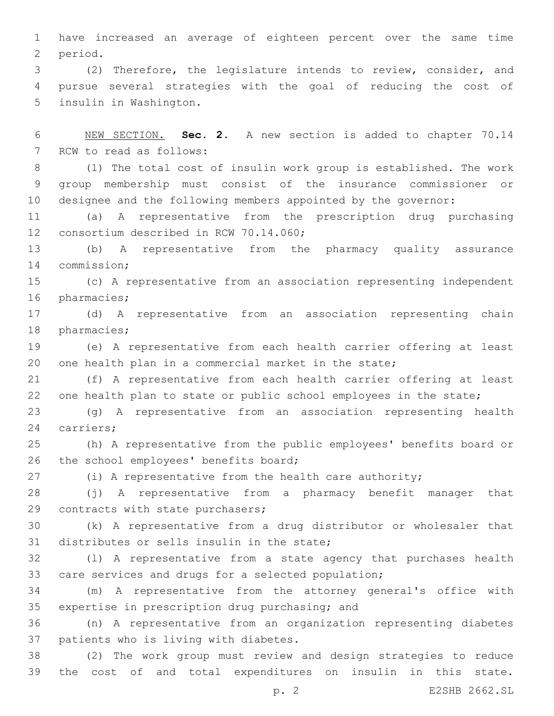1 have increased an average of eighteen percent over the same time 2 period.

3 (2) Therefore, the legislature intends to review, consider, and 4 pursue several strategies with the goal of reducing the cost of 5 insulin in Washington.

6 NEW SECTION. **Sec. 2.** A new section is added to chapter 70.14 7 RCW to read as follows:

8 (1) The total cost of insulin work group is established. The work 9 group membership must consist of the insurance commissioner or 10 designee and the following members appointed by the governor:

11 (a) A representative from the prescription drug purchasing 12 consortium described in RCW 70.14.060;

13 (b) A representative from the pharmacy quality assurance 14 commission;

15 (c) A representative from an association representing independent 16 pharmacies;

17 (d) A representative from an association representing chain 18 pharmacies;

19 (e) A representative from each health carrier offering at least 20 one health plan in a commercial market in the state;

21 (f) A representative from each health carrier offering at least 22 one health plan to state or public school employees in the state;

23 (g) A representative from an association representing health 24 carriers;

25 (h) A representative from the public employees' benefits board or 26 the school employees' benefits board;

27 (i) A representative from the health care authority;

28 (j) A representative from a pharmacy benefit manager that 29 contracts with state purchasers;

30 (k) A representative from a drug distributor or wholesaler that 31 distributes or sells insulin in the state;

32 (l) A representative from a state agency that purchases health 33 care services and drugs for a selected population;

34 (m) A representative from the attorney general's office with 35 expertise in prescription drug purchasing; and

36 (n) A representative from an organization representing diabetes 37 patients who is living with diabetes.

38 (2) The work group must review and design strategies to reduce 39 the cost of and total expenditures on insulin in this state.

p. 2 E2SHB 2662.SL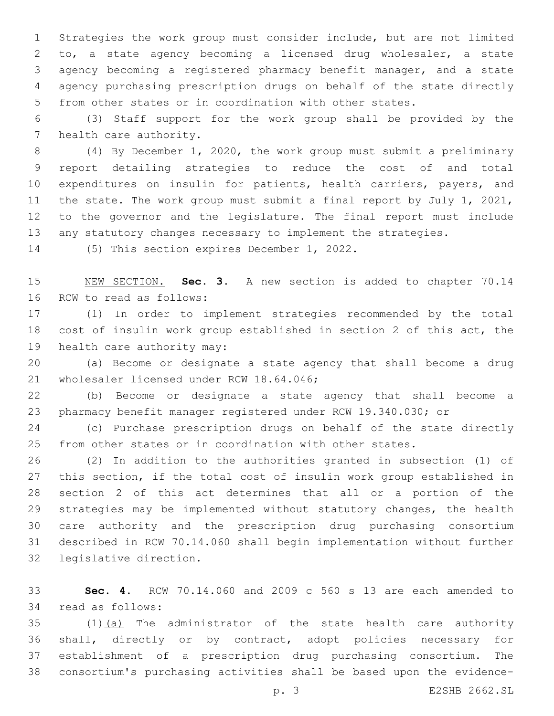Strategies the work group must consider include, but are not limited to, a state agency becoming a licensed drug wholesaler, a state agency becoming a registered pharmacy benefit manager, and a state agency purchasing prescription drugs on behalf of the state directly from other states or in coordination with other states.

 (3) Staff support for the work group shall be provided by the 7 health care authority.

 (4) By December 1, 2020, the work group must submit a preliminary report detailing strategies to reduce the cost of and total 10 expenditures on insulin for patients, health carriers, payers, and the state. The work group must submit a final report by July 1, 2021, to the governor and the legislature. The final report must include any statutory changes necessary to implement the strategies.

14 (5) This section expires December 1, 2022.

 NEW SECTION. **Sec. 3.** A new section is added to chapter 70.14 16 RCW to read as follows:

 (1) In order to implement strategies recommended by the total cost of insulin work group established in section 2 of this act, the 19 health care authority may:

 (a) Become or designate a state agency that shall become a drug 21 wholesaler licensed under RCW 18.64.046;

 (b) Become or designate a state agency that shall become a pharmacy benefit manager registered under RCW 19.340.030; or

 (c) Purchase prescription drugs on behalf of the state directly from other states or in coordination with other states.

 (2) In addition to the authorities granted in subsection (1) of this section, if the total cost of insulin work group established in section 2 of this act determines that all or a portion of the strategies may be implemented without statutory changes, the health care authority and the prescription drug purchasing consortium described in RCW 70.14.060 shall begin implementation without further 32 legislative direction.

 **Sec. 4.** RCW 70.14.060 and 2009 c 560 s 13 are each amended to 34 read as follows:

 (1)(a) The administrator of the state health care authority shall, directly or by contract, adopt policies necessary for establishment of a prescription drug purchasing consortium. The consortium's purchasing activities shall be based upon the evidence-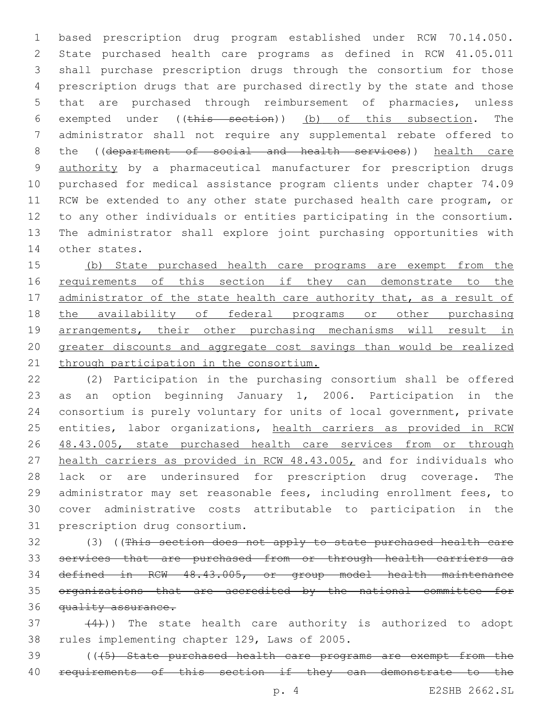based prescription drug program established under RCW 70.14.050. State purchased health care programs as defined in RCW 41.05.011 shall purchase prescription drugs through the consortium for those prescription drugs that are purchased directly by the state and those that are purchased through reimbursement of pharmacies, unless exempted under ((this section)) (b) of this subsection. The administrator shall not require any supplemental rebate offered to 8 the ((department of social and health services)) health care authority by a pharmaceutical manufacturer for prescription drugs purchased for medical assistance program clients under chapter 74.09 RCW be extended to any other state purchased health care program, or to any other individuals or entities participating in the consortium. The administrator shall explore joint purchasing opportunities with 14 other states.

 (b) State purchased health care programs are exempt from the 16 requirements of this section if they can demonstrate to the 17 administrator of the state health care authority that, as a result of 18 the availability of federal programs or other purchasing arrangements, their other purchasing mechanisms will result in greater discounts and aggregate cost savings than would be realized 21 through participation in the consortium.

 (2) Participation in the purchasing consortium shall be offered as an option beginning January 1, 2006. Participation in the consortium is purely voluntary for units of local government, private 25 entities, labor organizations, health carriers as provided in RCW 26 48.43.005, state purchased health care services from or through health carriers as provided in RCW 48.43.005, and for individuals who lack or are underinsured for prescription drug coverage. The administrator may set reasonable fees, including enrollment fees, to cover administrative costs attributable to participation in the 31 prescription drug consortium.

 (3) ((This section does not apply to state purchased health care services that are purchased from or through health carriers as defined in RCW 48.43.005, or group model health maintenance organizations that are accredited by the national committee for 36 quality assurance.

 $(4)$ )) The state health care authority is authorized to adopt 38 rules implementing chapter 129, Laws of 2005.

 (((5) State purchased health care programs are exempt from the 40 requirements of this section if they can demonstrate to the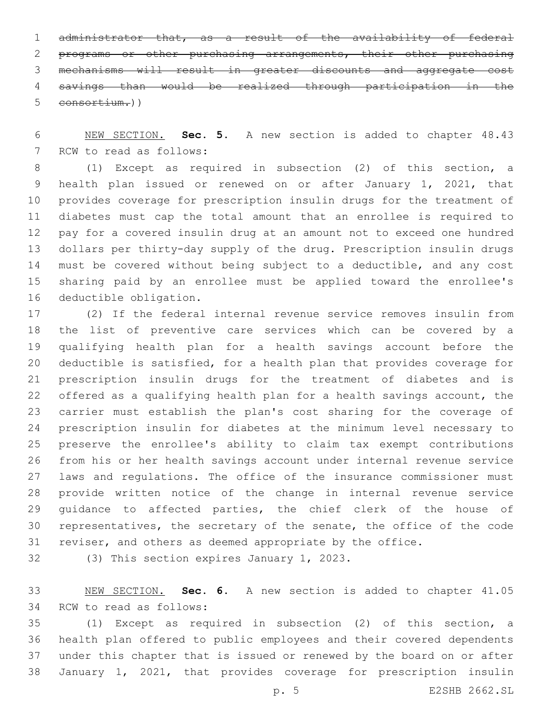administrator that, as a result of the availability of federal programs or other purchasing arrangements, their other purchasing mechanisms will result in greater discounts and aggregate cost savings than would be realized through participation in the consortium.))

 NEW SECTION. **Sec. 5.** A new section is added to chapter 48.43 7 RCW to read as follows:

 (1) Except as required in subsection (2) of this section, a health plan issued or renewed on or after January 1, 2021, that provides coverage for prescription insulin drugs for the treatment of diabetes must cap the total amount that an enrollee is required to pay for a covered insulin drug at an amount not to exceed one hundred dollars per thirty-day supply of the drug. Prescription insulin drugs must be covered without being subject to a deductible, and any cost sharing paid by an enrollee must be applied toward the enrollee's 16 deductible obligation.

 (2) If the federal internal revenue service removes insulin from the list of preventive care services which can be covered by a qualifying health plan for a health savings account before the deductible is satisfied, for a health plan that provides coverage for prescription insulin drugs for the treatment of diabetes and is offered as a qualifying health plan for a health savings account, the carrier must establish the plan's cost sharing for the coverage of prescription insulin for diabetes at the minimum level necessary to preserve the enrollee's ability to claim tax exempt contributions from his or her health savings account under internal revenue service laws and regulations. The office of the insurance commissioner must provide written notice of the change in internal revenue service guidance to affected parties, the chief clerk of the house of representatives, the secretary of the senate, the office of the code reviser, and others as deemed appropriate by the office.

32 (3) This section expires January 1, 2023.

 NEW SECTION. **Sec. 6.** A new section is added to chapter 41.05 34 RCW to read as follows:

 (1) Except as required in subsection (2) of this section, a health plan offered to public employees and their covered dependents under this chapter that is issued or renewed by the board on or after January 1, 2021, that provides coverage for prescription insulin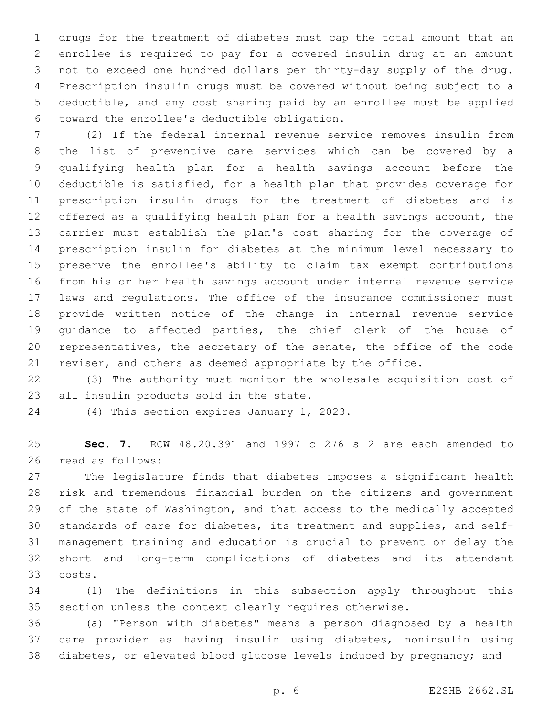drugs for the treatment of diabetes must cap the total amount that an enrollee is required to pay for a covered insulin drug at an amount not to exceed one hundred dollars per thirty-day supply of the drug. Prescription insulin drugs must be covered without being subject to a deductible, and any cost sharing paid by an enrollee must be applied toward the enrollee's deductible obligation.6

 (2) If the federal internal revenue service removes insulin from the list of preventive care services which can be covered by a qualifying health plan for a health savings account before the deductible is satisfied, for a health plan that provides coverage for prescription insulin drugs for the treatment of diabetes and is offered as a qualifying health plan for a health savings account, the carrier must establish the plan's cost sharing for the coverage of prescription insulin for diabetes at the minimum level necessary to preserve the enrollee's ability to claim tax exempt contributions from his or her health savings account under internal revenue service laws and regulations. The office of the insurance commissioner must provide written notice of the change in internal revenue service guidance to affected parties, the chief clerk of the house of representatives, the secretary of the senate, the office of the code reviser, and others as deemed appropriate by the office.

 (3) The authority must monitor the wholesale acquisition cost of 23 all insulin products sold in the state.

24 (4) This section expires January 1, 2023.

 **Sec. 7.** RCW 48.20.391 and 1997 c 276 s 2 are each amended to 26 read as follows:

 The legislature finds that diabetes imposes a significant health risk and tremendous financial burden on the citizens and government of the state of Washington, and that access to the medically accepted standards of care for diabetes, its treatment and supplies, and self- management training and education is crucial to prevent or delay the short and long-term complications of diabetes and its attendant costs.33

 (1) The definitions in this subsection apply throughout this section unless the context clearly requires otherwise.

 (a) "Person with diabetes" means a person diagnosed by a health care provider as having insulin using diabetes, noninsulin using diabetes, or elevated blood glucose levels induced by pregnancy; and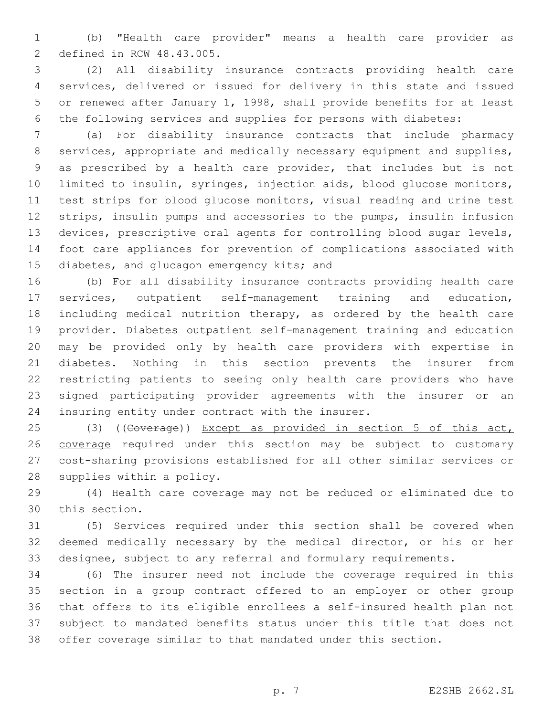(b) "Health care provider" means a health care provider as 2 defined in RCW 48.43.005.

 (2) All disability insurance contracts providing health care services, delivered or issued for delivery in this state and issued or renewed after January 1, 1998, shall provide benefits for at least the following services and supplies for persons with diabetes:

 (a) For disability insurance contracts that include pharmacy services, appropriate and medically necessary equipment and supplies, as prescribed by a health care provider, that includes but is not limited to insulin, syringes, injection aids, blood glucose monitors, test strips for blood glucose monitors, visual reading and urine test strips, insulin pumps and accessories to the pumps, insulin infusion devices, prescriptive oral agents for controlling blood sugar levels, foot care appliances for prevention of complications associated with 15 diabetes, and glucagon emergency kits; and

 (b) For all disability insurance contracts providing health care services, outpatient self-management training and education, including medical nutrition therapy, as ordered by the health care provider. Diabetes outpatient self-management training and education may be provided only by health care providers with expertise in diabetes. Nothing in this section prevents the insurer from restricting patients to seeing only health care providers who have signed participating provider agreements with the insurer or an 24 insuring entity under contract with the insurer.

25 (3) ((Goverage)) Except as provided in section 5 of this act, coverage required under this section may be subject to customary cost-sharing provisions established for all other similar services or 28 supplies within a policy.

 (4) Health care coverage may not be reduced or eliminated due to 30 this section.

 (5) Services required under this section shall be covered when deemed medically necessary by the medical director, or his or her designee, subject to any referral and formulary requirements.

 (6) The insurer need not include the coverage required in this section in a group contract offered to an employer or other group that offers to its eligible enrollees a self-insured health plan not subject to mandated benefits status under this title that does not offer coverage similar to that mandated under this section.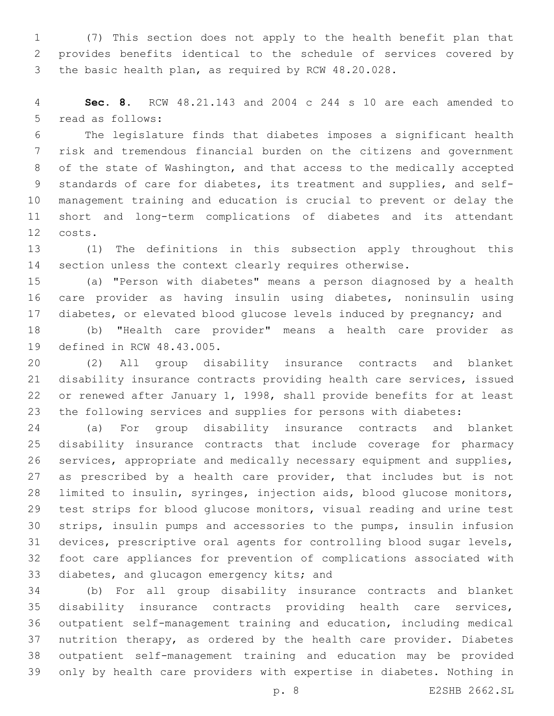(7) This section does not apply to the health benefit plan that provides benefits identical to the schedule of services covered by the basic health plan, as required by RCW 48.20.028.

 **Sec. 8.** RCW 48.21.143 and 2004 c 244 s 10 are each amended to 5 read as follows:

 The legislature finds that diabetes imposes a significant health risk and tremendous financial burden on the citizens and government of the state of Washington, and that access to the medically accepted standards of care for diabetes, its treatment and supplies, and self- management training and education is crucial to prevent or delay the short and long-term complications of diabetes and its attendant costs.12

 (1) The definitions in this subsection apply throughout this section unless the context clearly requires otherwise.

 (a) "Person with diabetes" means a person diagnosed by a health care provider as having insulin using diabetes, noninsulin using diabetes, or elevated blood glucose levels induced by pregnancy; and

 (b) "Health care provider" means a health care provider as 19 defined in RCW 48.43.005.

 (2) All group disability insurance contracts and blanket disability insurance contracts providing health care services, issued or renewed after January 1, 1998, shall provide benefits for at least the following services and supplies for persons with diabetes:

 (a) For group disability insurance contracts and blanket disability insurance contracts that include coverage for pharmacy services, appropriate and medically necessary equipment and supplies, 27 as prescribed by a health care provider, that includes but is not limited to insulin, syringes, injection aids, blood glucose monitors, test strips for blood glucose monitors, visual reading and urine test strips, insulin pumps and accessories to the pumps, insulin infusion devices, prescriptive oral agents for controlling blood sugar levels, foot care appliances for prevention of complications associated with 33 diabetes, and glucagon emergency kits; and

 (b) For all group disability insurance contracts and blanket disability insurance contracts providing health care services, outpatient self-management training and education, including medical nutrition therapy, as ordered by the health care provider. Diabetes outpatient self-management training and education may be provided only by health care providers with expertise in diabetes. Nothing in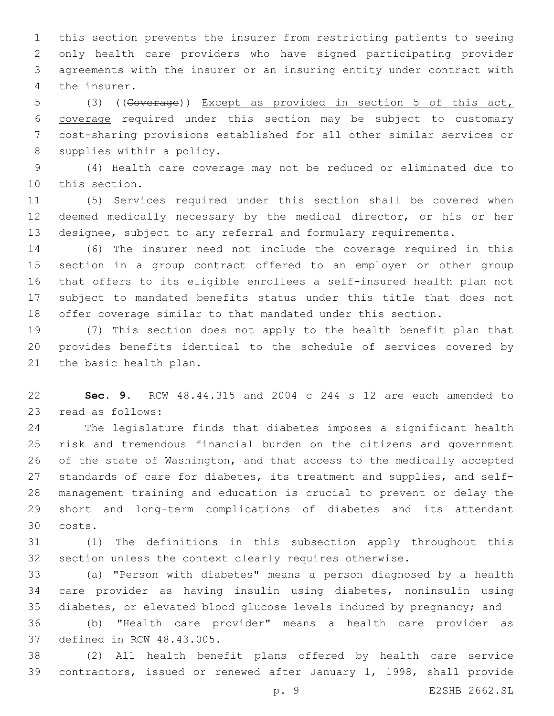this section prevents the insurer from restricting patients to seeing only health care providers who have signed participating provider agreements with the insurer or an insuring entity under contract with 4 the insurer.

 (3) ((Coverage)) Except as provided in section 5 of this act, coverage required under this section may be subject to customary cost-sharing provisions established for all other similar services or 8 supplies within a policy.

 (4) Health care coverage may not be reduced or eliminated due to 10 this section.

 (5) Services required under this section shall be covered when deemed medically necessary by the medical director, or his or her designee, subject to any referral and formulary requirements.

 (6) The insurer need not include the coverage required in this section in a group contract offered to an employer or other group that offers to its eligible enrollees a self-insured health plan not subject to mandated benefits status under this title that does not offer coverage similar to that mandated under this section.

 (7) This section does not apply to the health benefit plan that provides benefits identical to the schedule of services covered by 21 the basic health plan.

 **Sec. 9.** RCW 48.44.315 and 2004 c 244 s 12 are each amended to 23 read as follows:

 The legislature finds that diabetes imposes a significant health risk and tremendous financial burden on the citizens and government of the state of Washington, and that access to the medically accepted standards of care for diabetes, its treatment and supplies, and self- management training and education is crucial to prevent or delay the short and long-term complications of diabetes and its attendant costs.30

 (1) The definitions in this subsection apply throughout this section unless the context clearly requires otherwise.

 (a) "Person with diabetes" means a person diagnosed by a health care provider as having insulin using diabetes, noninsulin using diabetes, or elevated blood glucose levels induced by pregnancy; and

 (b) "Health care provider" means a health care provider as 37 defined in RCW 48.43.005.

 (2) All health benefit plans offered by health care service contractors, issued or renewed after January 1, 1998, shall provide

p. 9 E2SHB 2662.SL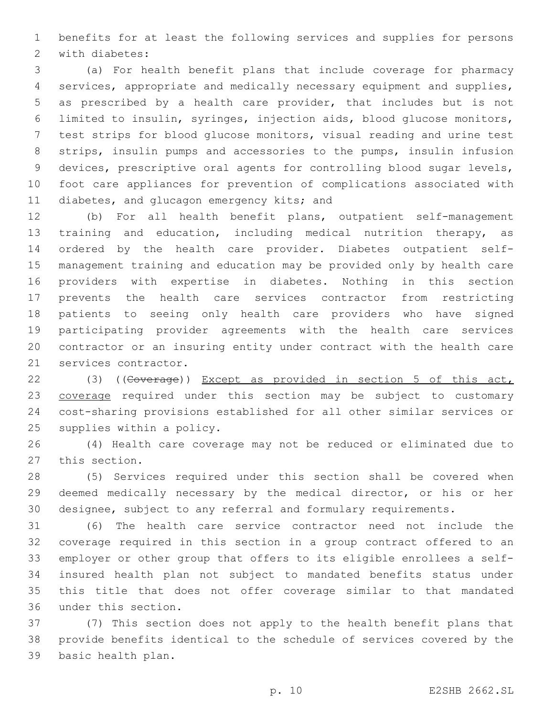benefits for at least the following services and supplies for persons 2 with diabetes:

 (a) For health benefit plans that include coverage for pharmacy services, appropriate and medically necessary equipment and supplies, as prescribed by a health care provider, that includes but is not limited to insulin, syringes, injection aids, blood glucose monitors, test strips for blood glucose monitors, visual reading and urine test strips, insulin pumps and accessories to the pumps, insulin infusion devices, prescriptive oral agents for controlling blood sugar levels, foot care appliances for prevention of complications associated with 11 diabetes, and glucagon emergency kits; and

 (b) For all health benefit plans, outpatient self-management training and education, including medical nutrition therapy, as ordered by the health care provider. Diabetes outpatient self- management training and education may be provided only by health care providers with expertise in diabetes. Nothing in this section prevents the health care services contractor from restricting patients to seeing only health care providers who have signed participating provider agreements with the health care services contractor or an insuring entity under contract with the health care 21 services contractor.

 (3) ((Coverage)) Except as provided in section 5 of this act, 23 coverage required under this section may be subject to customary cost-sharing provisions established for all other similar services or 25 supplies within a policy.

 (4) Health care coverage may not be reduced or eliminated due to 27 this section.

 (5) Services required under this section shall be covered when deemed medically necessary by the medical director, or his or her designee, subject to any referral and formulary requirements.

 (6) The health care service contractor need not include the coverage required in this section in a group contract offered to an employer or other group that offers to its eligible enrollees a self- insured health plan not subject to mandated benefits status under this title that does not offer coverage similar to that mandated 36 under this section.

 (7) This section does not apply to the health benefit plans that provide benefits identical to the schedule of services covered by the 39 basic health plan.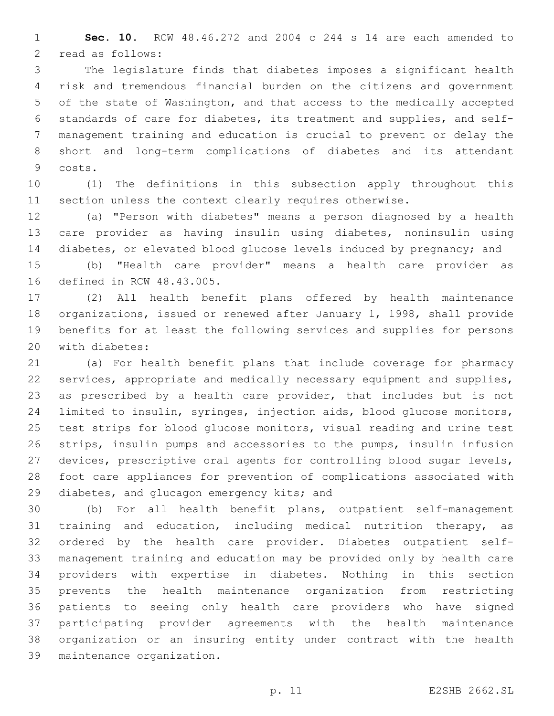**Sec. 10.** RCW 48.46.272 and 2004 c 244 s 14 are each amended to 2 read as follows:

 The legislature finds that diabetes imposes a significant health risk and tremendous financial burden on the citizens and government of the state of Washington, and that access to the medically accepted standards of care for diabetes, its treatment and supplies, and self- management training and education is crucial to prevent or delay the short and long-term complications of diabetes and its attendant 9 costs.

 (1) The definitions in this subsection apply throughout this section unless the context clearly requires otherwise.

 (a) "Person with diabetes" means a person diagnosed by a health care provider as having insulin using diabetes, noninsulin using diabetes, or elevated blood glucose levels induced by pregnancy; and

 (b) "Health care provider" means a health care provider as 16 defined in RCW 48.43.005.

 (2) All health benefit plans offered by health maintenance organizations, issued or renewed after January 1, 1998, shall provide benefits for at least the following services and supplies for persons 20 with diabetes:

 (a) For health benefit plans that include coverage for pharmacy services, appropriate and medically necessary equipment and supplies, as prescribed by a health care provider, that includes but is not limited to insulin, syringes, injection aids, blood glucose monitors, test strips for blood glucose monitors, visual reading and urine test strips, insulin pumps and accessories to the pumps, insulin infusion devices, prescriptive oral agents for controlling blood sugar levels, foot care appliances for prevention of complications associated with 29 diabetes, and glucagon emergency kits; and

 (b) For all health benefit plans, outpatient self-management training and education, including medical nutrition therapy, as ordered by the health care provider. Diabetes outpatient self- management training and education may be provided only by health care providers with expertise in diabetes. Nothing in this section prevents the health maintenance organization from restricting patients to seeing only health care providers who have signed participating provider agreements with the health maintenance organization or an insuring entity under contract with the health 39 maintenance organization.